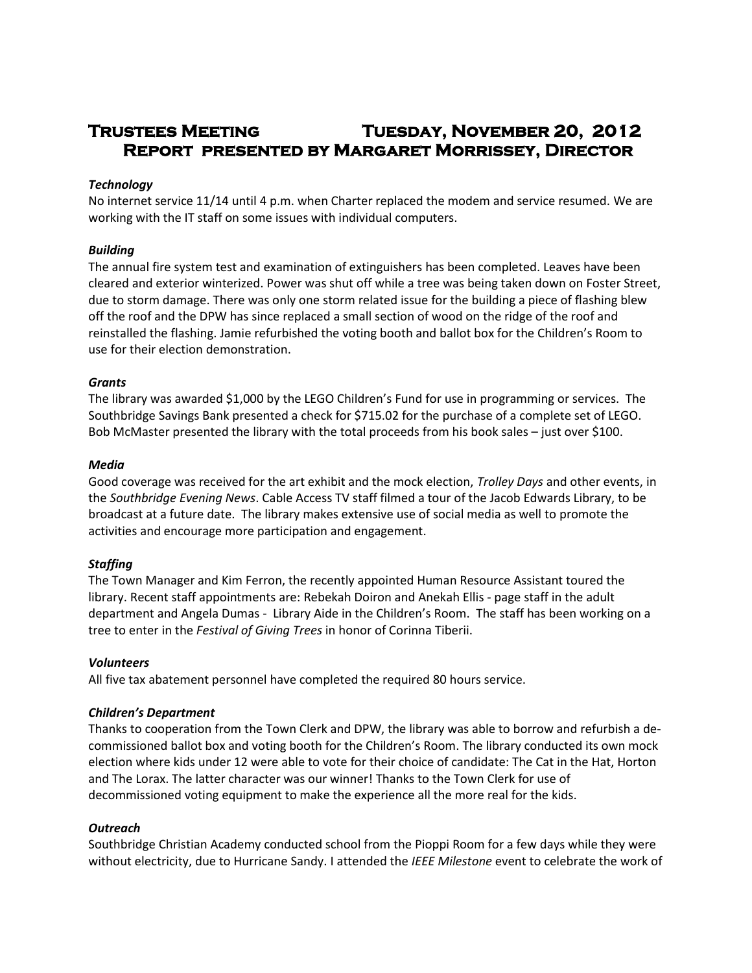# **Trustees Meeting Tuesday, November 20, 2012 Report presented by Margaret Morrissey, Director**

# *Technology*

No internet service 11/14 until 4 p.m. when Charter replaced the modem and service resumed. We are working with the IT staff on some issues with individual computers.

# *Building*

The annual fire system test and examination of extinguishers has been completed. Leaves have been cleared and exterior winterized. Power was shut off while a tree was being taken down on Foster Street, due to storm damage. There was only one storm related issue for the building a piece of flashing blew off the roof and the DPW has since replaced a small section of wood on the ridge of the roof and reinstalled the flashing. Jamie refurbished the voting booth and ballot box for the Children's Room to use for their election demonstration.

# *Grants*

The library was awarded \$1,000 by the LEGO Children's Fund for use in programming or services. The Southbridge Savings Bank presented a check for \$715.02 for the purchase of a complete set of LEGO. Bob McMaster presented the library with the total proceeds from his book sales – just over \$100.

# *Media*

Good coverage was received for the art exhibit and the mock election, *Trolley Days* and other events, in the *Southbridge Evening News*. Cable Access TV staff filmed a tour of the Jacob Edwards Library, to be broadcast at a future date. The library makes extensive use of social media as well to promote the activities and encourage more participation and engagement.

# *Staffing*

The Town Manager and Kim Ferron, the recently appointed Human Resource Assistant toured the library. Recent staff appointments are: Rebekah Doiron and Anekah Ellis - page staff in the adult department and Angela Dumas - Library Aide in the Children's Room. The staff has been working on a tree to enter in the *Festival of Giving Trees* in honor of Corinna Tiberii.

#### *Volunteers*

All five tax abatement personnel have completed the required 80 hours service.

#### *Children's Department*

Thanks to cooperation from the Town Clerk and DPW, the library was able to borrow and refurbish a decommissioned ballot box and voting booth for the Children's Room. The library conducted its own mock election where kids under 12 were able to vote for their choice of candidate: The Cat in the Hat, Horton and The Lorax. The latter character was our winner! Thanks to the Town Clerk for use of decommissioned voting equipment to make the experience all the more real for the kids.

#### *Outreach*

Southbridge Christian Academy conducted school from the Pioppi Room for a few days while they were without electricity, due to Hurricane Sandy. I attended the *IEEE Milestone* event to celebrate the work of